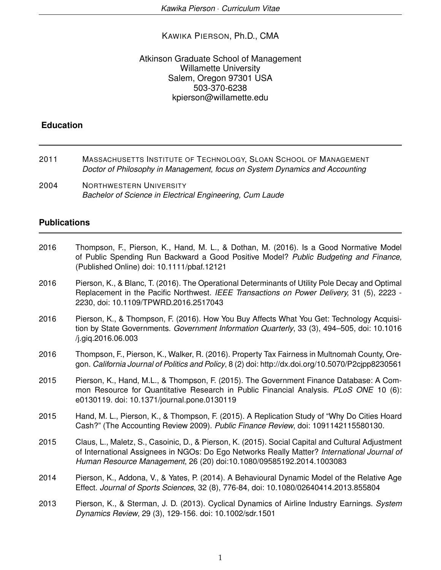### KAWIKA PIERSON, Ph.D., CMA

### Atkinson Graduate School of Management Willamette University Salem, Oregon 97301 USA 503-370-6238 kpierson@willamette.edu

## **Education**

- 2011 MASSACHUSETTS INSTITUTE OF TECHNOLOGY, SLOAN SCHOOL OF MANAGEMENT *Doctor of Philosophy in Management, focus on System Dynamics and Accounting*
- 2004 NORTHWESTERN UNIVERSITY *Bachelor of Science in Electrical Engineering, Cum Laude*

### **Publications**

- 2016 Thompson, F., Pierson, K., Hand, M. L., & Dothan, M. (2016). Is a Good Normative Model of Public Spending Run Backward a Good Positive Model? *Public Budgeting and Finance,* (Published Online) doi: 10.1111/pbaf.12121
- 2016 Pierson, K., & Blanc, T. (2016). The Operational Determinants of Utility Pole Decay and Optimal Replacement in the Pacific Northwest. *IEEE Transactions on Power Delivery,* 31 (5), 2223 - 2230, doi: 10.1109/TPWRD.2016.2517043
- 2016 Pierson, K., & Thompson, F. (2016). How You Buy Affects What You Get: Technology Acquisition by State Governments. *Government Information Quarterly*, 33 (3), 494–505, doi: 10.1016 /j.giq.2016.06.003
- 2016 Thompson, F., Pierson, K., Walker, R. (2016). Property Tax Fairness in Multnomah County, Oregon. *California Journal of Politics and Policy*, 8 (2) doi: http://dx.doi.org/10.5070/P2cjpp8230561
- 2015 Pierson, K., Hand, M.L., & Thompson, F. (2015). The Government Finance Database: A Common Resource for Quantitative Research in Public Financial Analysis. *PLoS ONE* 10 (6): e0130119. doi: 10.1371/journal.pone.0130119
- 2015 Hand, M. L., Pierson, K., & Thompson, F. (2015). A Replication Study of "Why Do Cities Hoard Cash?" (The Accounting Review 2009). *Public Finance Review*, doi: 1091142115580130.
- 2015 Claus, L., Maletz, S., Casoinic, D., & Pierson, K. (2015). Social Capital and Cultural Adjustment of International Assignees in NGOs: Do Ego Networks Really Matter? *International Journal of Human Resource Management*, 26 (20) doi:10.1080/09585192.2014.1003083
- 2014 Pierson, K., Addona, V., & Yates, P. (2014). A Behavioural Dynamic Model of the Relative Age Effect. *Journal of Sports Sciences*, 32 (8), 776-84, doi: 10.1080/02640414.2013.855804
- 2013 Pierson, K., & Sterman, J. D. (2013). Cyclical Dynamics of Airline Industry Earnings. *System Dynamics Review*, 29 (3), 129-156. doi: 10.1002/sdr.1501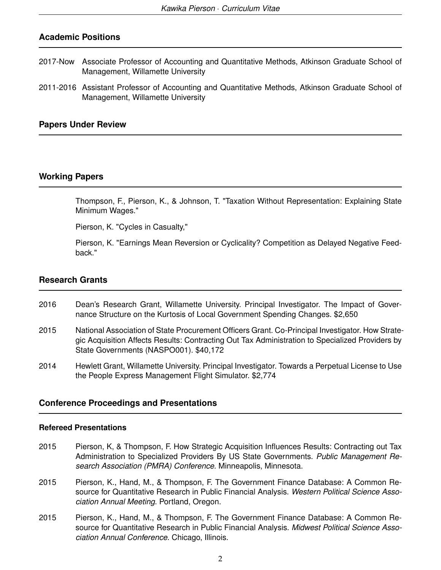# **Academic Positions**

- 2017-Now Associate Professor of Accounting and Quantitative Methods, Atkinson Graduate School of Management, Willamette University
- 2011-2016 Assistant Professor of Accounting and Quantitative Methods, Atkinson Graduate School of Management, Willamette University

### **Papers Under Review**

## **Working Papers**

Thompson, F., Pierson, K., & Johnson, T. "Taxation Without Representation: Explaining State Minimum Wages."

Pierson, K. "Cycles in Casualty,"

Pierson, K. "Earnings Mean Reversion or Cyclicality? Competition as Delayed Negative Feedback."

### **Research Grants**

- 2016 Dean's Research Grant, Willamette University. Principal Investigator. The Impact of Governance Structure on the Kurtosis of Local Government Spending Changes. \$2,650
- 2015 National Association of State Procurement Officers Grant. Co-Principal Investigator. How Strategic Acquisition Affects Results: Contracting Out Tax Administration to Specialized Providers by State Governments (NASPO001). \$40,172
- 2014 Hewlett Grant, Willamette University. Principal Investigator. Towards a Perpetual License to Use the People Express Management Flight Simulator. \$2,774

### **Conference Proceedings and Presentations**

#### **Refereed Presentations**

- 2015 Pierson, K, & Thompson, F. How Strategic Acquisition Influences Results: Contracting out Tax Administration to Specialized Providers By US State Governments. *Public Management Research Association (PMRA) Conference*. Minneapolis, Minnesota.
- 2015 Pierson, K., Hand, M., & Thompson, F. The Government Finance Database: A Common Resource for Quantitative Research in Public Financial Analysis. *Western Political Science Association Annual Meeting*. Portland, Oregon.
- 2015 Pierson, K., Hand, M., & Thompson, F. The Government Finance Database: A Common Resource for Quantitative Research in Public Financial Analysis. *Midwest Political Science Association Annual Conference*. Chicago, Illinois.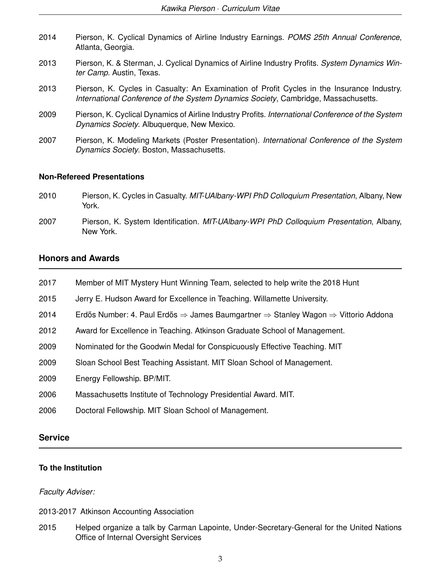| 2014 | Pierson, K. Cyclical Dynamics of Airline Industry Earnings. POMS 25th Annual Conference,<br>Atlanta, Georgia.                                                                    |
|------|----------------------------------------------------------------------------------------------------------------------------------------------------------------------------------|
| 2013 | Pierson, K. & Sterman, J. Cyclical Dynamics of Airline Industry Profits. System Dynamics Win-<br>ter Camp. Austin, Texas.                                                        |
| 2013 | Pierson, K. Cycles in Casualty: An Examination of Profit Cycles in the Insurance Industry.<br>International Conference of the System Dynamics Society, Cambridge, Massachusetts. |
| 2009 | Pierson, K. Cyclical Dynamics of Airline Industry Profits. International Conference of the System<br>Dynamics Society. Albuquerque, New Mexico.                                  |
| 2007 | Pierson, K. Modeling Markets (Poster Presentation). International Conference of the System<br>Dynamics Society. Boston, Massachusetts.                                           |

### **Non-Refereed Presentations**

- 2010 Pierson, K. Cycles in Casualty. *MIT-UAlbany-WPI PhD Colloquium Presentation*, Albany, New York.
- 2007 Pierson, K. System Identification. *MIT-UAlbany-WPI PhD Colloquium Presentation*, Albany, New York.

# **Honors and Awards**

- 2017 Member of MIT Mystery Hunt Winning Team, selected to help write the 2018 Hunt
- 2015 Jerry E. Hudson Award for Excellence in Teaching. Willamette University.
- 2014 Erdős Number: 4. Paul Erdős  $\Rightarrow$  James Baumgartner  $\Rightarrow$  Stanley Wagon  $\Rightarrow$  Vittorio Addona
- 2012 Award for Excellence in Teaching. Atkinson Graduate School of Management.
- 2009 Nominated for the Goodwin Medal for Conspicuously Effective Teaching. MIT
- 2009 Sloan School Best Teaching Assistant. MIT Sloan School of Management.
- 2009 Energy Fellowship. BP/MIT.
- 2006 Massachusetts Institute of Technology Presidential Award. MIT.
- 2006 Doctoral Fellowship. MIT Sloan School of Management.

### **Service**

#### **To the Institution**

#### *Faculty Adviser:*

2013-2017 Atkinson Accounting Association

2015 Helped organize a talk by Carman Lapointe, Under-Secretary-General for the United Nations Office of Internal Oversight Services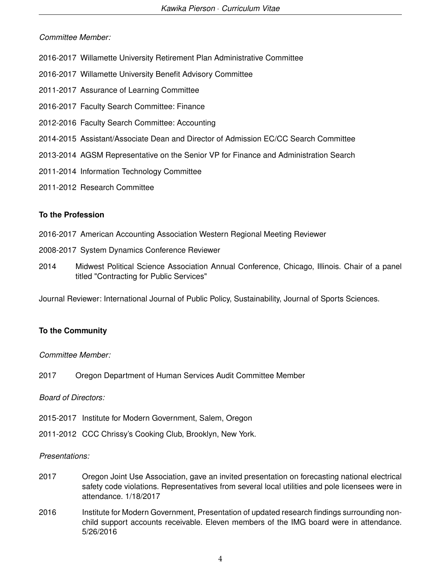## *Committee Member:*

- 2016-2017 Willamette University Retirement Plan Administrative Committee
- 2016-2017 Willamette University Benefit Advisory Committee
- 2011-2017 Assurance of Learning Committee
- 2016-2017 Faculty Search Committee: Finance
- 2012-2016 Faculty Search Committee: Accounting
- 2014-2015 Assistant/Associate Dean and Director of Admission EC/CC Search Committee
- 2013-2014 AGSM Representative on the Senior VP for Finance and Administration Search
- 2011-2014 Information Technology Committee
- 2011-2012 Research Committee

# **To the Profession**

- 2016-2017 American Accounting Association Western Regional Meeting Reviewer
- 2008-2017 System Dynamics Conference Reviewer
- 2014 Midwest Political Science Association Annual Conference, Chicago, Illinois. Chair of a panel titled "Contracting for Public Services"

Journal Reviewer: International Journal of Public Policy, Sustainability, Journal of Sports Sciences.

# **To the Community**

## *Committee Member:*

2017 Oregon Department of Human Services Audit Committee Member

## *Board of Directors:*

- 2015-2017 Institute for Modern Government, Salem, Oregon
- 2011-2012 CCC Chrissy's Cooking Club, Brooklyn, New York.

## *Presentations:*

- 2017 Oregon Joint Use Association, gave an invited presentation on forecasting national electrical safety code violations. Representatives from several local utilities and pole licensees were in attendance. 1/18/2017
- 2016 Institute for Modern Government, Presentation of updated research findings surrounding nonchild support accounts receivable. Eleven members of the IMG board were in attendance. 5/26/2016